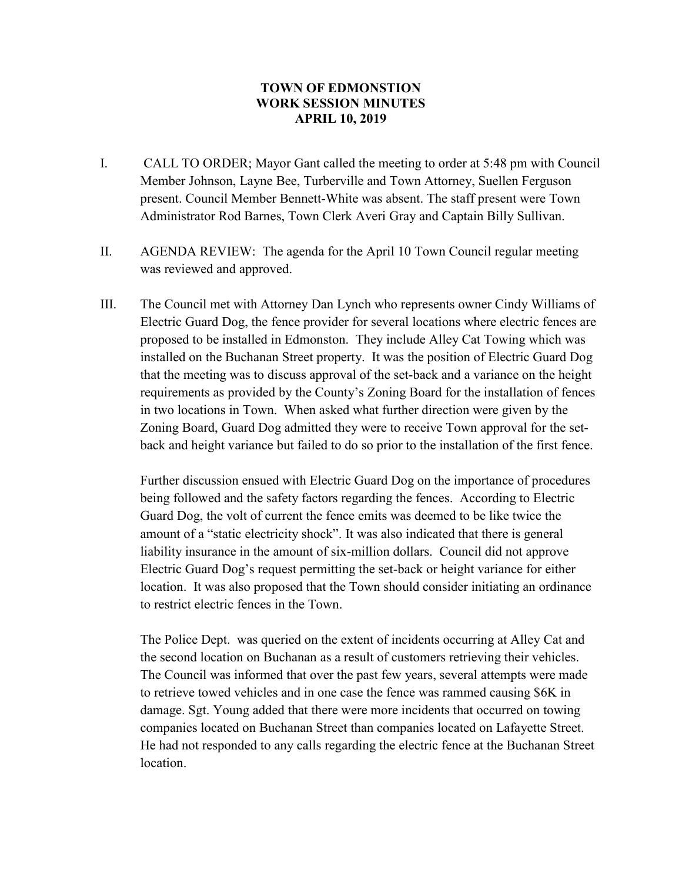## **TOWN OF EDMONSTION WORK SESSION MINUTES APRIL 10, 2019**

- I. CALL TO ORDER; Mayor Gant called the meeting to order at 5:48 pm with Council Member Johnson, Layne Bee, Turberville and Town Attorney, Suellen Ferguson present. Council Member Bennett-White was absent. The staff present were Town Administrator Rod Barnes, Town Clerk Averi Gray and Captain Billy Sullivan.
- II. AGENDA REVIEW: The agenda for the April 10 Town Council regular meeting was reviewed and approved.
- III. The Council met with Attorney Dan Lynch who represents owner Cindy Williams of Electric Guard Dog, the fence provider for several locations where electric fences are proposed to be installed in Edmonston. They include Alley Cat Towing which was installed on the Buchanan Street property. It was the position of Electric Guard Dog that the meeting was to discuss approval of the set-back and a variance on the height requirements as provided by the County's Zoning Board for the installation of fences in two locations in Town. When asked what further direction were given by the Zoning Board, Guard Dog admitted they were to receive Town approval for the setback and height variance but failed to do so prior to the installation of the first fence.

Further discussion ensued with Electric Guard Dog on the importance of procedures being followed and the safety factors regarding the fences. According to Electric Guard Dog, the volt of current the fence emits was deemed to be like twice the amount of a "static electricity shock". It was also indicated that there is general liability insurance in the amount of six-million dollars. Council did not approve Electric Guard Dog's request permitting the set-back or height variance for either location. It was also proposed that the Town should consider initiating an ordinance to restrict electric fences in the Town.

The Police Dept. was queried on the extent of incidents occurring at Alley Cat and the second location on Buchanan as a result of customers retrieving their vehicles. The Council was informed that over the past few years, several attempts were made to retrieve towed vehicles and in one case the fence was rammed causing \$6K in damage. Sgt. Young added that there were more incidents that occurred on towing companies located on Buchanan Street than companies located on Lafayette Street. He had not responded to any calls regarding the electric fence at the Buchanan Street location.